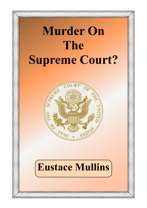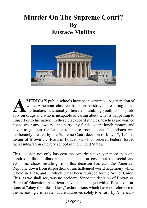#### **Murder On The Supreme Court? By Eustace Mullins**



**ALERICA'S** public schools have been corrupted. A generation of white American children has been destroyed, resulting in an inarticulate, functionally illiterate, mumbling youth who is probably on drugs and who is incapabl **MERICA'S** public schools have been corrupted. A generation of white American children has been destroyed, resulting in an inarticulate, functionally illiterate, mumbling youth who is probhimself or to his nation. In these blackboard jungles, teachers are warned not to wear any jewelry or to carry any funds except lunch money, and never to go into the hall or to the restroom alone. This chaos was deliberately created by the Supreme Court decision of May 17, 1954 in favour of Brown vs. Board of Education, which ordered Federal forced racial integration of every school in the United States.

This decision not only has cost the American taxpayer more than one hundred billion dollars in added education costs but the social and economic chaos resulting from this decision has cast the American Republic down from its position of unchallenged world hegemony which it held in 1954, and in which it has been replaced by the Soviet Union. This, as we shall see, was no accident. Since the decision of Brown vs. Board of Education, Americans have been deluged with official exhortations to "obey the rules of law," exhortations which have no reference to the increasing crime rate but are addressed solely to efforts by Americans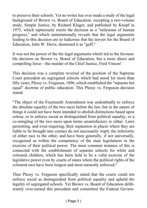to preserve their schools. Yet no writer has ever made a study of the legal background of Brown vs. Board of Education, excepting a two-volume study, Simple Justice, by Richard Kluger, and published by Knopf in 1975, which rapturously extols the decision as a "milestone of human progress," and which unintentionally reveals that the legal arguments leading to this decision are so ludicrous that the lawyer for the Board of Education, John W. Davis, dismissed it as "guff."

It was not the power of the the legal arguments which led to the favourable decision on Brown vs. Board of Education, but a more direct and compelling force—the murder of the Chief Justice, Fred Vinson!

This decision was a complete reversal of the position of the Supreme Court precedent on segregated schools which had stood for more than fifty years, Plessy vs. Ferguson, 1896, which established the "separate but equal" doctrine of public education. This Plessy vs. Ferguson decision stated:

"The object of the Fourteenth Amendment was undoubtedly to enforce the absolute equality of the two races before the law, but in the nature of things it could not have been intended to abolish distinctions based upon colour, or to enforce social as distinguished from political equality, or a co-mingling of the two races upon terms unsatisfactory to either. Laws permitting, and even requiring, their separation in places where they are liable to be brought into contact do not necessarily imply the inferiority of either race to the other, and have been generally, if not universally, recognized as within the competency of the state legislatures in the exercise of their political power. The most common instance of this is connected with the establishment of separate schools for white and coloured children, which has been held to be a valid exercise of the legislative power even by courts of states where the political rights of the coloured race have been longest and most earnestly enforced."

Thus Plessy vs. Ferguson specifically stated that the courts could not enforce social as distinguished from political equality and upheld the legality of segregated schools. Yet Brown vs. Board of Education deliberately over-turned this precedent and committed the Federal Govern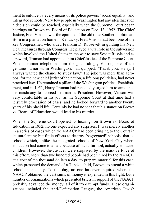ment to enforce by every means of its police powers "social equality" and integrated schools. Very few people in Washington had any idea that such a decision could be reached, especially when the Supreme Court began hearings on Brown vs. Board of Education on Dec. 13, 1952. The Chief Justice, Fred Vinson, was the epitome of the old time Southern politician. Born in a plantation home in Kentucky, Fred Vinson had been one of the key Congressmen who aided Franklin D. Roosevelt in guiding his New Deal measures through Congress. He played a vital role in the subversion which involved the United States in the war to save Soviet Russia and as a reward, Truman had appointed him Chief Justice of the Supreme Court. When Truman telephoned him the glad tidings, Vinson, one of the genuine humorists in Washington, had quipped, "Thank you, Harry, I always wanted the chance to study law." The joke was more than apropos, for the new chief jurist of the nation, a lifelong politician, had never practiced law. He remained a pillar of the Washington political Establishment, and in 1951, Harry Truman had repeatedly urged him to announce his candidacy to succeed Truman as President. However, Vinson was very comfortable in his job, as the Supreme Court at that time had a leisurely procession of cases, and he looked forward to another twenty years of his placid life. Certainly he had no idea that his stance on Brown vs. Board of Education would lead to his murder.

When the Supreme Court opened its hearings on Brown vs. Board of Education in 1952, no one expected any surprises. It was merely another in a series of cases which the NAACP had been bringing to the Court in its unrelenting but futile efforts to destroy "segregated" schools, that is, schools which, unlike the integrated schools of New York City where education had come to a halt because of racial turmoil, actually educated children. However, the Justices were surprised by the massive force of this effort. More than two hundred people had been hired by the NAACP, at a cost of ten thousand dollars a day, to prepare material for this case, which presented the demand of a Topeka child. Brown, to attend a white school in that city. To this day, no one has ever inquired where the NAACP obtained the vast sums of money it expended in this fight, but a number of organizations which presented briefs in support of the NAACP probably advanced the money, all of it tax-exempt funds. These organizations included the Anti-Defamation League, the American Jewish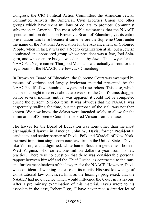Congress, the CIO Political Action Committee, the American Jewish Committee, Amvets, the American Civil Liberties Union and other groups which have spent millions of dollars to promote Communist subversion in America. The most reliable estimate is that the NAACP spent ten million dollars on Brown vs. Board of Education, yet its entire presentation was false because it came before the Supreme Court under the name of the National Association for the Advancement of Coloured People, when in fact, it was not a Negro organization at all, but a Jewish dominated and sponsored group whose president was a Jew, Joel Spingarn, and whose entire budget was donated by Jews! The lawyer for the NAACP, a Negro named Thurgood Marshall, was actually a front for the legal brain of the NAACP, the Jew Jack Greenberg.

In Brown vs. Board of Education, the Supreme Court was swamped by masses of verbose and largely irrelevant material presented by the NAACP staff of two hundred lawyers and researchers. This case, which had been thought to reserve about two weeks of the Court's time, dragged on for several months, until it was apparent it could not be completed during the current 1952-53 term. It was obvious that the NAACP was desperately stalling for time, but the purpose of the stall was not then known. We now know the delays were intended solely to allow for the elimination of Supreme Court Justice Fred Vinson from the case.

The lawyer for the Board of Education was none other than the most distinguished lawyer in America, John W. Davis, former Presidential candidate, and senior partner of Davis, Polk and Wardell of New York, the most important single corporate law firm in the United States. Davis, like Vinson, was a dignified, white-haired Southern gentlemen, born in West Virginia, who earned one million dollars a year from his law practice. There was no question that there was considerable personal rapport between himself and the Chief Justice, as contrasted to the ratty and furtive machinations of the lawyers for the NAACP. However, Davis was confident of winning the case on its merits. His vast knowledge of Constitutional law convinced him, as the hearings progressed, that the NAACP had no evidence which would influence the Court in its favour. After a preliminary examination of this material, Davis wrote to his associate in the case, Robert Figg, "I have never read a drearier lot of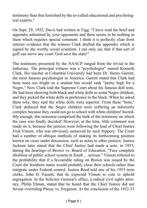testimony than that furnished by the so-called educational and psychological experts."

On Sept. 29, 1952, Davis had written to Figg: "I have read the brief and appendix submitted by your opponents and there seems to be nothing in them which requires special comment. I think it is perfectly clear from interior evidence that the witness Clark drafted the appendix which is signed by the worthy social scientists. I can only say that if that sort of guff can move any court 'God save the state!"

The testimony presented by the NAACP ranged from the trivial to the ludicrous. The principal witness was a "psychologist" named Kenneth Clark. His teacher at Columbia University had been Dr. Henry Garrett, the most famous psychologist in America. Garrett stated that Clark had been none too bright as a student but would rank "pretty high for a Negro." Now Clark told the Supreme Court about his famous doll tests. He had been showing both black and white dolls to some Negro children, and they picked the white dolls in preference to the black. When he asked them why, they said the white dolls were superior. From these "tests," Clark deduced that the Negro children were suffering an inferiority complex because they could not go to school with white children! Incredibly enough, this nonsense comprised the bulk of the testimony on which the case was finally decided! However, at the time, little comment was made on it, because the justices were following the lead of Chief Justice Fred Vinson, who was obviously unmoved by such frippery. The Court had a number of oblique methods of making its forthcoming position known on cases under discussion, such as notes to other justices. Justice Jackson later stated that the Chief Justice had made a note, in 1953, during the hearings of Brown vs. Board of Education, "Face complete abolition of public school system in South ... serious." Vinson referred to the probability that if a favourable ruling on Brown was issued by the Court the Southern states would probably close their schools rather than integrate under Federal control. Justice Reed told one of his 1953 term clerks, John D. Fassett, that he expected Vinson to vote to uphold segregation. In the Solicitor General's office, a radical civil rights attorney, Philip Elman, stated that he heard that the Chief Justice did not favour overruling Plessy vs. Ferguson. At the conclusion of the 1952-53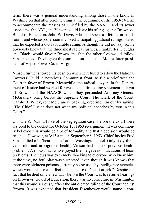term, there was a general understanding among those in the know in Washington that after brief hearings at the beginning of the 1953-54 term to accommodate the masses of junk filed by the NAACP and its sewer associates, the ADL, etc. Vinson would issue his ruling against Brown vs. Board of Education. John W. Davis, who had spent a lifetime in courtrooms and whose profession involved anticipating judicial rulings, stated that he expected a 6-3 favourable ruling. Although he did not say so, he obviously knew that the three most radical justices, Frankfurter, Douglas and Black, would favour Brown and that the other five would follow Vinson's lead. Davis gave this summation to Justice Moore, later president of Vepco Power Co. in Virginia.

Vinson further showed his position when he refused to allow the National Lawyers' Guild, a notorious Communist front, to file a brief with the Court in favor of Brown. Meanwhile, the radical lawyers in the Department of Justice had worked for weeks on a fire-eating statement in favor of Brown and the NAACP which they persuaded Attorney General McGranery bring before the Supreme Court. The Clerk of the Court, Harold B. Wiley, sent McGranery packing, ordering him out by saying, "The Chief Justice does not want any political speeches by you in this Court."

On June 8, 1953, all five of the segregation cases before the Court were restored to the docket for October 12, 1953 re-argument. It was commonly believed this would be a brief formality and that a decision would be reached. However, at 3:15 a.m. on September 8, 1953, Chief Justice Fred Vinson died of a "heart attack" at his Washington hotel. Only sixty-three years old, and in vigorous health, Vinson had had no previous health problems. A robust man who enjoyed life, he gave no indications of heart problems. The news was extremely shocking to everyone who knew him, at the time, no foul play was suspected, even though it was known that there were eighteen poisons currently being used by intelligence agencies which would cause a perfect medical case of "heart attack." Despite the fact that he died only a few days before the Court was to resume hearings on Brown vs. Board of Education, there was no conjecture in Washington that this would seriously affect the anticipated ruling of the Court against Brown. It was expected that President Eisenhower would name a con-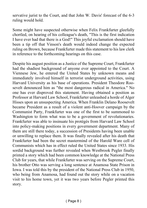servative jurist to the Court, and that John W. Davis' forecast of the 6-3 ruling would hold.

Some might have suspected otherwise when Felix Frankfurter gleefully chortled, on hearing of his colleague's death, "This is the first indication I have ever had that there is a God!" This joyful exclamation should have been a tip off that Vinson's death would indeed change the expected ruling on Brown, because Frankfurter made this statement to his law clerk in reference to the forthcoming hearings on this case.

Despite his august position as a Justice of the Supreme Court, Frankfurter had the shadiest background of anyone ever appointed to the Court. A Viennese Jew, he entered the United States by unknown means and immediately involved himself in terrorist underground activities, using Harvard University as his base of operations. President Theodore Roosevelt denounced him as "the most dangerous radical in America." No one has ever disproved this statement. Having obtained a position as Professor at Harvard Law School, Frankfurter unleashed a horde of Alger Hisses upon an unsuspecting America. When Franklin Delano Roosevelt became President as a result of a violent anti-Hoover campaign by the Communist Party, Frankfurter was one of the first to be summoned to Washington to form what was to be a government of revolutionaries. Frankfurter was able to insinuate his protégés from Harvard Law School into policy-making positions in every government department. Many of them are still there today, a succession of Presidents having been unable or unwilling to replace them. It was finally revealed after his death that Frankfurter had been the secret mastermind of the Harold Ware cell of Communists which has in effect ruled the United States since 1933. His sordid background was further revealed when Westbrook Pegler finally printed a story which had been common knowledge at the National Press Club for years, that while Frankfurter was serving on the Supreme Court, his brother Otto was serving a long sentence at Anamosa State Prison in Iowa. I was told this by the president of the National Press Club in 1950, who being from Anamosa, had found out the story while on a vacation visit to his home town, yet it was two years before Pegler printed this story.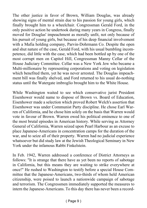The other justice in favor of Brown, William Douglas, was already showing signs of mental strain due to his passion for young girls, which finally brought him to a wheelchair. Congressman Gerald Ford, in the only positive action he undertook during many years in Congress, finally moved for Douglas' impeachment as morally unfit, not only because of his pursuit of young girls, but because of his deep financial involvement with a Mafia holding company, Parvin-Dohrmann Co. Despite the open and shut nature of the case, Gerald Ford, with his usual bumbling incompetence, did little with the case, which had been bottled up by one of the most corrupt men on Capitol Hill, Congressman Manny Cellar of the House Judiciary Committee. Cellar was a New York Jew who became a Multi-millionaire by representing corporations and voting on legislation which benefited them, yet he was never arrested. The Douglas impeachment bill was finally shelved, and Ford returned to his usual do-nothing status until the Watergate imbroglio brought him to the White House.

While Washington waited to see which conservative jurist President Eisenhower would name to dispose of Brown vs. Board of Education, Eisenhower made a selection which proved Robert Welch's assertion that Eisenhower was under Communist Party discipline. He chose Earl Warren of California, and he chose him solely on the basis that Warren would vote in favour of Brown. Warren owed his political eminence to one of the most brutal episodes in American history. While serving as Attorney General of California, Warren seized upon Pearl Harbour as an excuse to place Japanese-Americans in concentration camps for the duration of the war, and to seize all of their property. Warren had no judicial experience whatsoever but did study law at the Jewish Theological Seminary in New York under the infamous Rabbi Finkelstein.

In Feb. 1942, Warren addressed a conference of District Attorneys as follows: "It is strange that there have as yet been no reports of sabotage in California, but this means they are waiting to strike everywhere at once!" He rushed to Washington to testify before a special House Committee that the Japanese-Americans, two-thirds of whom held American citizenship, were poised to launch a nationwide campaign of sabotage and terrorism. The Congressmen immediately supported the measures to intern the Japanese-Americans. To this day there has never been a record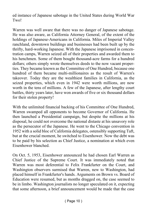ed instance of Japanese sabotage in the United States during World War Two!

Warren was well aware that there was no danger of Japanese sabotage. He was also aware, as California Attorney General, of the extent of the holdings of Japanese-Americans in California. Miles of Imperial Valley ranchland, downtown buildings and businesses had been built up by the thrifty, hard-working Japanese. With the Japanese imprisoned in concentration camps, Warren seized all of their properties and awarded them to his henchmen. Some of them bought thousand-acre farms for a hundred dollars; others simply wrote themselves deeds to the now vacant properties. They became known as the Committee of One Hundred, because one hundred of them became multi-millionaires as the result of Warren's takeover. Today they are the wealthiest families in California, as the seized properties, which even in 1942 were worth millions, are now worth in the tens of millions. A few of the Japanese, after lengthy court battles, thirty years later, have won awards of five or six thousand dollars for their stolen property!

With the unlimited financial backing of his Committee of One Hundred, Warren swamped all opponents to become Governor of California. He then launched a Presidential campaign, but despite the millions at his disposal, he could not overcome the national distaste at his unsavory role as the persecutor of the Japanese. He went to the Chicago convention in 1952 with a solid bloc of California delegates, ostensibly supporting Taft, but at the crucial moment, he switched to Eisenhower. Now the debt was to be paid by his selection as Chief Justice, a nomination at which even Eisenhower blanched.

On Oct. 5, 1953, Eisenhower announced he had chosen Earl Warren as Chief Justice of the Supreme Court. It was immediately noted that Warren was most deferential to Felix Frankfurter on the Court, and Washington observers surmised that Warren, new to Washington, had placed himself in Frankfurter's hands. Arguments on Brown vs. Board of Education were resumed, but as months dragged on, the case seemed to be in limbo. Washington journalists no longer speculated on it, expecting that some afternoon, a brief announcement would be made that the case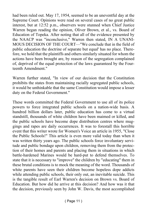had been ruled out. May 17, 1954, seemed to be an uneventful day at the Supreme Court. Opinions were read on several cases of no great public interest, but at 12:52 p.m., observers were stunned when Chief Justice Warren began reading the opinion, Oliver Brown, et al., vs. Board of Education of Topeka. After noting that all of the evidence presented by the NAACP was "inconclusive," Warren then stated, IN A UNANI-MOUS DECISION OF THE COURT—"We conclude that in the field of public education the doctrine of separate but equal' has no place. Therefore, we hold that the plaintiffs and others similarly situated for whom the actions have been brought are, by reason of the segregation complained of, deprived of the equal protection of the laws guaranteed by the Fourteenth Amendment."

Warren further stated, "In view of our decision that the Constitution prohibits the states from maintaining racially segregated public schools, it would be unthinkable that the same Constitution would impose a lesser duty on the Federal Government."

These words committed the Federal Government to use all of its police powers to force integrated public schools on a nation-wide basis. A hundred billion dollars later, public education has come to a virtual standstill, thousands of white children have been maimed or killed, and the public schools have become dope distribution centres where muggings and rapes are daily occurrences. It was to forestall this horrible event that this writer wrote for Women's Voice an article in 1955, "Close the Public Schools!" This article is even more valid today than when it was written thirty years ago. The public schools force involuntary servitude and public bondage upon children, removing them from the protection of their homes and parents and placing them in situations in which battle-hardened Marines would be hard-put to defend themselves. To state that it is necessary to "improve" the children by "educating" them in these brutal conditions is to mock the meaning of the word. Thousands of white parents have seen their children become hopeless dope addicts while attending public schools, their only out, an inevitable suicide. This is the tangible result of Earl Warren's decision on Brown vs. Board of Education. But how did he arrive at this decision? And how was it that the decision, previously seen by John W. Davis, the most accomplished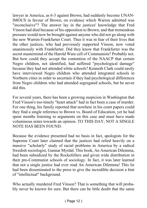lawyer in America, as 6-3 against Brown, had suddenly become UNAN-IMOUS in favour of Brown, on evidence which Warren admitted was "inconclusive"? The answer lay in the justices' knowledge that Fred Vinson had died because of his opposition to Brown, and that tremendous pressure would now be brought against anyone who did not go along with the new Warren-Frankfurter Court. Thus it was in fear of their lives that the other justices, who had previously supported Vinson, now voted unanimously with Frankfurter. Did they know that Frankfurter was the secret mastermind of the Harold Ware cell of Communists? Probably not. But how could they accept the contention of the NAACP that certain Negro children, not identified, had suffered "psychological damage" because they had not attended white schools? Kenneth Clark could easily have interviewed Negro children who attended integrated schools in Northern cities in order to ascertain if they had psychological differences from Negro children who had attended segregated schools, but he never did this.

For several years, there has been a growing suspicion in Washington that Fred Vinson's too-timely "heart attack" had in fact been a case of murder. For one thing, his family reported that nowhere in his court papers could they find a single reference to Brown vs. Board of Education, yet he had spent months listening to arguments on this case and must have made voluminous notes towards an opinion. TO THIS DAY, NOT A SINGLE NOTE HAS BEEN FOUND.

Because the evidence presented had no basis in fact, apologists for the Supreme Court later claimed that the justices had relied heavily on a massive "scholarly" study of racial problems in America by a radical Swedish sociologist, Gunnar Myrdal. This book, An American Dilemma, had been subsidized by the Rockefellers and given wide distribution in their pro-Communist schools of sociology. In fact, it was later learned that not a single justice had ever read An American Dilemma! This lie had been disseminated to the press to give the incredible decision a hint of "intellectual" background.

Who actually murdered Fred Vinson? That is something that will probably never be known for sure. But there can be little doubt that the same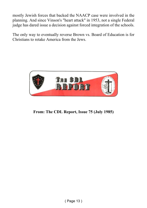mostly Jewish forces that backed the NAACP case were involved in the planning. And since Vinson's "heart attack" in 1953, not a single Federal judge has dared issue a decision against forced integration of the schools.

The only way to eventually reverse Brown vs. Board of Education is for Christians to retake America from the Jews.



**From: The CDL Report, Issue 75 (July 1985)**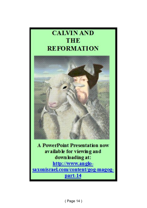### **CALVIN AND THE REFORMATION**



**A PowerPoint Presentation now** available for viewing and down loading at: http://www.anglosaxonisrael.com/content/gog-magogpart-14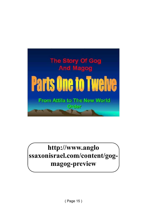

## **http://www.anglo ssaxonisrael.com/content/gogmagog-preview**